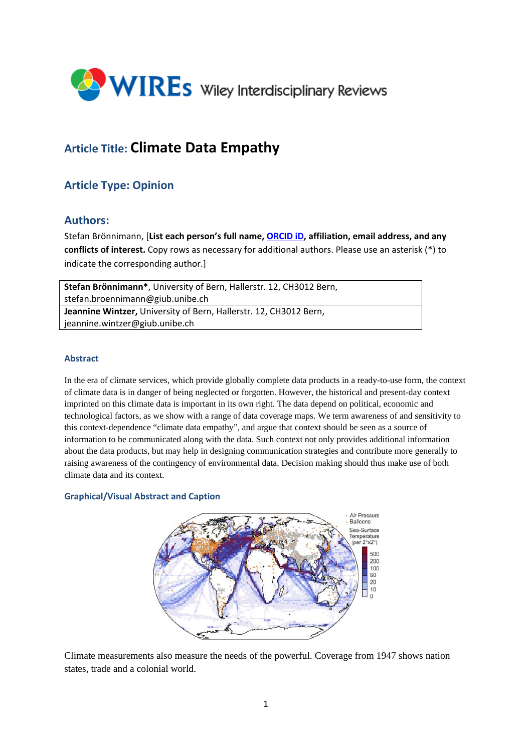

# **Article Title: Climate Data Empathy**

## **Article Type: Opinion**

### **Authors:**

Stefan Brönnimann, [**List each person's full name, ORCID iD, affiliation, email address, and any conflicts of interest.** Copy rows as necessary for additional authors. Please use an asterisk (\*) to indicate the corresponding author.]

| Stefan Brönnimann*, University of Bern, Hallerstr. 12, CH3012 Bern, |
|---------------------------------------------------------------------|
| stefan.broennimann@giub.unibe.ch                                    |
| Jeannine Wintzer, University of Bern, Hallerstr. 12, CH3012 Bern,   |
| jeannine.wintzer@giub.unibe.ch                                      |

#### **Abstract**

In the era of climate services, which provide globally complete data products in a ready-to-use form, the context of climate data is in danger of being neglected or forgotten. However, the historical and present-day context imprinted on this climate data is important in its own right. The data depend on political, economic and technological factors, as we show with a range of data coverage maps. We term awareness of and sensitivity to this context-dependence "climate data empathy", and argue that context should be seen as a source of information to be communicated along with the data. Such context not only provides additional information about the data products, but may help in designing communication strategies and contribute more generally to raising awareness of the contingency of environmental data. Decision making should thus make use of both climate data and its context.

#### **Graphical/Visual Abstract and Caption**



Climate measurements also measure the needs of the powerful. Coverage from 1947 shows nation states, trade and a colonial world.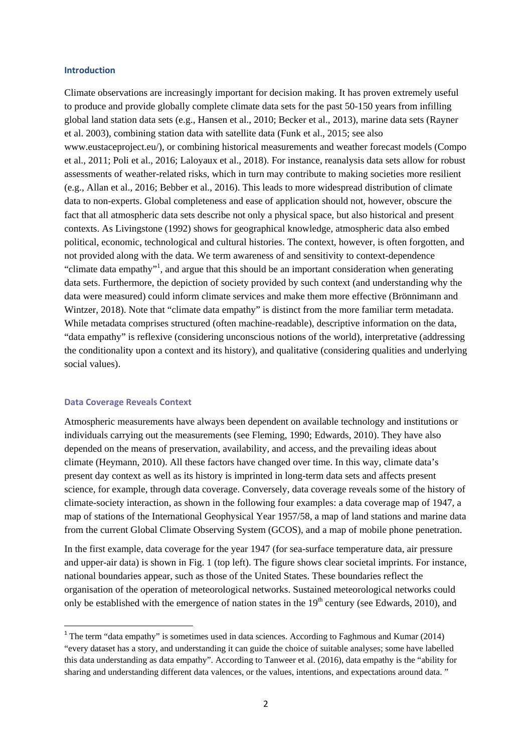#### **Introduction**

Climate observations are increasingly important for decision making. It has proven extremely useful to produce and provide globally complete climate data sets for the past 50-150 years from infilling global land station data sets (e.g., Hansen et al., 2010; Becker et al., 2013), marine data sets (Rayner et al. 2003), combining station data with satellite data (Funk et al., 2015; see also www.eustaceproject.eu/), or combining historical measurements and weather forecast models (Compo et al., 2011; Poli et al., 2016; Laloyaux et al., 2018). For instance, reanalysis data sets allow for robust assessments of weather-related risks, which in turn may contribute to making societies more resilient (e.g., Allan et al., 2016; Bebber et al., 2016). This leads to more widespread distribution of climate data to non-experts. Global completeness and ease of application should not, however, obscure the fact that all atmospheric data sets describe not only a physical space, but also historical and present contexts. As Livingstone (1992) shows for geographical knowledge, atmospheric data also embed political, economic, technological and cultural histories. The context, however, is often forgotten, and not provided along with the data. We term awareness of and sensitivity to context-dependence "climate data empathy"<sup>1</sup>, and argue that this should be an important consideration when generating data sets. Furthermore, the depiction of society provided by such context (and understanding why the data were measured) could inform climate services and make them more effective (Brönnimann and Wintzer, 2018). Note that "climate data empathy" is distinct from the more familiar term metadata. While metadata comprises structured (often machine-readable), descriptive information on the data, "data empathy" is reflexive (considering unconscious notions of the world), interpretative (addressing the conditionality upon a context and its history), and qualitative (considering qualities and underlying social values).

#### **Data Coverage Reveals Context**

Atmospheric measurements have always been dependent on available technology and institutions or individuals carrying out the measurements (see Fleming, 1990; Edwards, 2010). They have also depended on the means of preservation, availability, and access, and the prevailing ideas about climate (Heymann, 2010). All these factors have changed over time. In this way, climate data's present day context as well as its history is imprinted in long-term data sets and affects present science, for example*,* through data coverage. Conversely, data coverage reveals some of the history of climate-society interaction, as shown in the following four examples: a data coverage map of 1947, a map of stations of the International Geophysical Year 1957/58, a map of land stations and marine data from the current Global Climate Observing System (GCOS), and a map of mobile phone penetration.

In the first example, data coverage for the year 1947 (for sea-surface temperature data, air pressure and upper-air data) is shown in Fig. 1 (top left). The figure shows clear societal imprints. For instance, national boundaries appear, such as those of the United States. These boundaries reflect the organisation of the operation of meteorological networks. Sustained meteorological networks could only be established with the emergence of nation states in the  $19<sup>th</sup>$  century (see Edwards, 2010), and

<sup>&</sup>lt;sup>1</sup> The term "data empathy" is sometimes used in data sciences. According to Faghmous and Kumar (2014) "every dataset has a story, and understanding it can guide the choice of suitable analyses; some have labelled this data understanding as data empathy". According to Tanweer et al. (2016), data empathy is the "ability for sharing and understanding different data valences, or the values, intentions, and expectations around data. "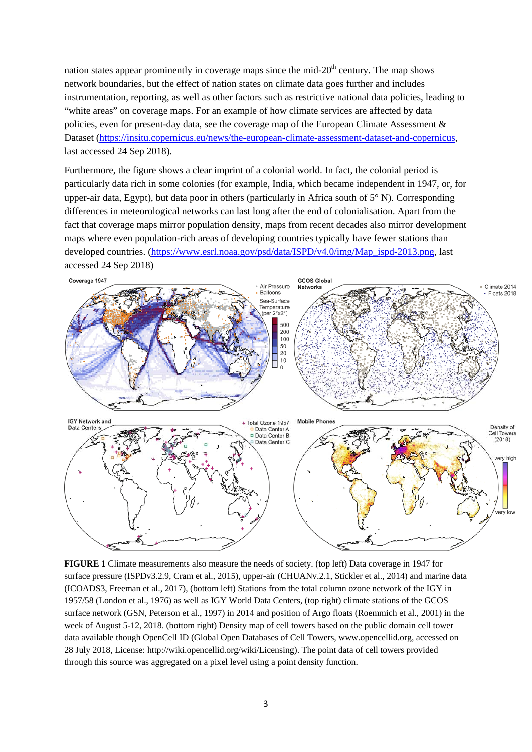nation states appear prominently in coverage maps since the mid- $20<sup>th</sup>$  century. The map shows network boundaries, but the effect of nation states on climate data goes further and includes instrumentation, reporting, as well as other factors such as restrictive national data policies, leading to "white areas" on coverage maps. For an example of how climate services are affected by data policies, even for present-day data, see the coverage map of the European Climate Assessment & Dataset (https://insitu.copernicus.eu/news/the-european-climate-assessment-dataset-and-copernicus, last accessed 24 Sep 2018).

Furthermore, the figure shows a clear imprint of a colonial world. In fact, the colonial period is particularly data rich in some colonies (for example, India, which became independent in 1947, or, for upper-air data, Egypt), but data poor in others (particularly in Africa south of  $5^{\circ}$  N). Corresponding differences in meteorological networks can last long after the end of colonialisation. Apart from the fact that coverage maps mirror population density, maps from recent decades also mirror development maps where even population-rich areas of developing countries typically have fewer stations than developed countries. (https://www.esrl.noaa.gov/psd/data/ISPD/v4.0/img/Map\_ispd-2013.png, last accessed 24 Sep 2018)



**FIGURE 1** Climate measurements also measure the needs of society. (top left) Data coverage in 1947 for surface pressure (ISPDv3.2.9, Cram et al., 2015), upper-air (CHUANv.2.1, Stickler et al., 2014) and marine data (ICOADS3, Freeman et al., 2017), (bottom left) Stations from the total column ozone network of the IGY in 1957/58 (London et al., 1976) as well as IGY World Data Centers, (top right) climate stations of the GCOS surface network (GSN, Peterson et al., 1997) in 2014 and position of Argo floats (Roemmich et al., 2001) in the week of August 5-12, 2018. (bottom right) Density map of cell towers based on the public domain cell tower data available though OpenCell ID (Global Open Databases of Cell Towers, www.opencellid.org, accessed on 28 July 2018, License: http://wiki.opencellid.org/wiki/Licensing). The point data of cell towers provided through this source was aggregated on a pixel level using a point density function.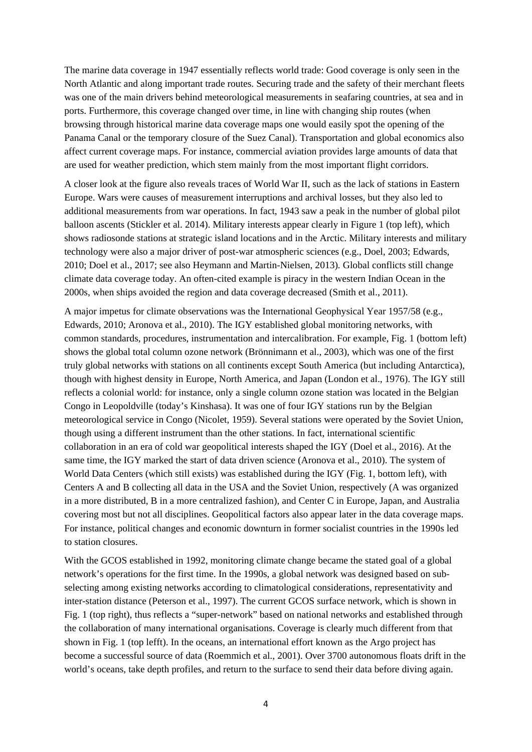The marine data coverage in 1947 essentially reflects world trade: Good coverage is only seen in the North Atlantic and along important trade routes. Securing trade and the safety of their merchant fleets was one of the main drivers behind meteorological measurements in seafaring countries, at sea and in ports. Furthermore, this coverage changed over time, in line with changing ship routes (when browsing through historical marine data coverage maps one would easily spot the opening of the Panama Canal or the temporary closure of the Suez Canal). Transportation and global economics also affect current coverage maps. For instance, commercial aviation provides large amounts of data that are used for weather prediction, which stem mainly from the most important flight corridors.

A closer look at the figure also reveals traces of World War II, such as the lack of stations in Eastern Europe. Wars were causes of measurement interruptions and archival losses, but they also led to additional measurements from war operations. In fact, 1943 saw a peak in the number of global pilot balloon ascents (Stickler et al. 2014). Military interests appear clearly in Figure 1 (top left), which shows radiosonde stations at strategic island locations and in the Arctic. Military interests and military technology were also a major driver of post-war atmospheric sciences (e.g., Doel, 2003; Edwards, 2010; Doel et al., 2017; see also Heymann and Martin-Nielsen, 2013)*.* Global conflicts still change climate data coverage today. An often-cited example is piracy in the western Indian Ocean in the 2000s, when ships avoided the region and data coverage decreased (Smith et al., 2011).

A major impetus for climate observations was the International Geophysical Year 1957/58 (e.g., Edwards, 2010; Aronova et al., 2010). The IGY established global monitoring networks, with common standards, procedures, instrumentation and intercalibration. For example, Fig. 1 (bottom left) shows the global total column ozone network (Brönnimann et al., 2003), which was one of the first truly global networks with stations on all continents except South America (but including Antarctica), though with highest density in Europe, North America, and Japan (London et al., 1976). The IGY still reflects a colonial world: for instance, only a single column ozone station was located in the Belgian Congo in Leopoldville (today's Kinshasa). It was one of four IGY stations run by the Belgian meteorological service in Congo (Nicolet, 1959). Several stations were operated by the Soviet Union, though using a different instrument than the other stations. In fact, international scientific collaboration in an era of cold war geopolitical interests shaped the IGY (Doel et al., 2016). At the same time, the IGY marked the start of data driven science (Aronova et al., 2010). The system of World Data Centers (which still exists) was established during the IGY (Fig. 1, bottom left), with Centers A and B collecting all data in the USA and the Soviet Union, respectively (A was organized in a more distributed, B in a more centralized fashion), and Center C in Europe, Japan, and Australia covering most but not all disciplines. Geopolitical factors also appear later in the data coverage maps. For instance, political changes and economic downturn in former socialist countries in the 1990s led to station closures.

With the GCOS established in 1992, monitoring climate change became the stated goal of a global network's operations for the first time. In the 1990s, a global network was designed based on subselecting among existing networks according to climatological considerations, representativity and inter-station distance (Peterson et al., 1997). The current GCOS surface network, which is shown in Fig. 1 (top right), thus reflects a "super-network" based on national networks and established through the collaboration of many international organisations. Coverage is clearly much different from that shown in Fig. 1 (top lefft). In the oceans, an international effort known as the Argo project has become a successful source of data (Roemmich et al., 2001). Over 3700 autonomous floats drift in the world's oceans, take depth profiles, and return to the surface to send their data before diving again.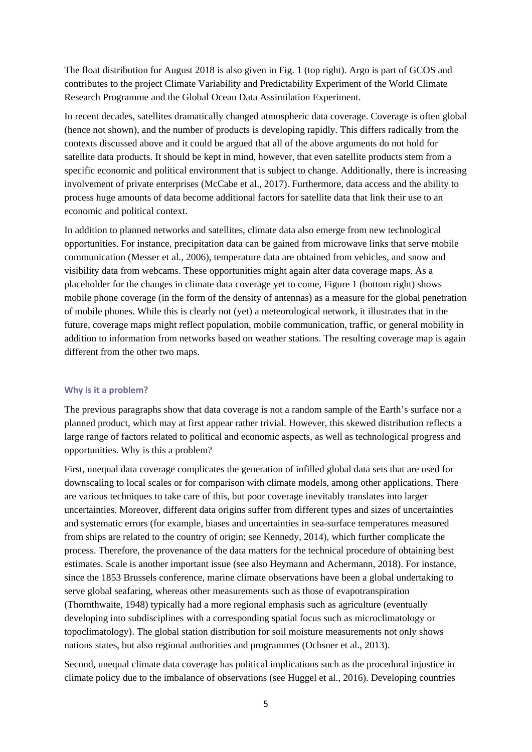The float distribution for August 2018 is also given in Fig. 1 (top right). Argo is part of GCOS and contributes to the project Climate Variability and Predictability Experiment of the World Climate Research Programme and the Global Ocean Data Assimilation Experiment.

In recent decades, satellites dramatically changed atmospheric data coverage. Coverage is often global (hence not shown), and the number of products is developing rapidly. This differs radically from the contexts discussed above and it could be argued that all of the above arguments do not hold for satellite data products. It should be kept in mind, however, that even satellite products stem from a specific economic and political environment that is subject to change. Additionally, there is increasing involvement of private enterprises (McCabe et al., 2017). Furthermore, data access and the ability to process huge amounts of data become additional factors for satellite data that link their use to an economic and political context.

In addition to planned networks and satellites, climate data also emerge from new technological opportunities. For instance, precipitation data can be gained from microwave links that serve mobile communication (Messer et al., 2006), temperature data are obtained from vehicles, and snow and visibility data from webcams. These opportunities might again alter data coverage maps. As a placeholder for the changes in climate data coverage yet to come, Figure 1 (bottom right) shows mobile phone coverage (in the form of the density of antennas) as a measure for the global penetration of mobile phones. While this is clearly not (yet) a meteorological network, it illustrates that in the future, coverage maps might reflect population, mobile communication, traffic, or general mobility in addition to information from networks based on weather stations. The resulting coverage map is again different from the other two maps.

#### **Why is it a problem?**

The previous paragraphs show that data coverage is not a random sample of the Earth's surface nor a planned product, which may at first appear rather trivial. However, this skewed distribution reflects a large range of factors related to political and economic aspects, as well as technological progress and opportunities. Why is this a problem?

First, unequal data coverage complicates the generation of infilled global data sets that are used for downscaling to local scales or for comparison with climate models, among other applications. There are various techniques to take care of this, but poor coverage inevitably translates into larger uncertainties. Moreover, different data origins suffer from different types and sizes of uncertainties and systematic errors (for example, biases and uncertainties in sea-surface temperatures measured from ships are related to the country of origin; see Kennedy, 2014), which further complicate the process. Therefore, the provenance of the data matters for the technical procedure of obtaining best estimates. Scale is another important issue (see also Heymann and Achermann, 2018). For instance, since the 1853 Brussels conference, marine climate observations have been a global undertaking to serve global seafaring, whereas other measurements such as those of evapotranspiration (Thornthwaite, 1948) typically had a more regional emphasis such as agriculture (eventually developing into subdisciplines with a corresponding spatial focus such as microclimatology or topoclimatology). The global station distribution for soil moisture measurements not only shows nations states, but also regional authorities and programmes (Ochsner et al., 2013).

Second, unequal climate data coverage has political implications such as the procedural injustice in climate policy due to the imbalance of observations (see Huggel et al., 2016). Developing countries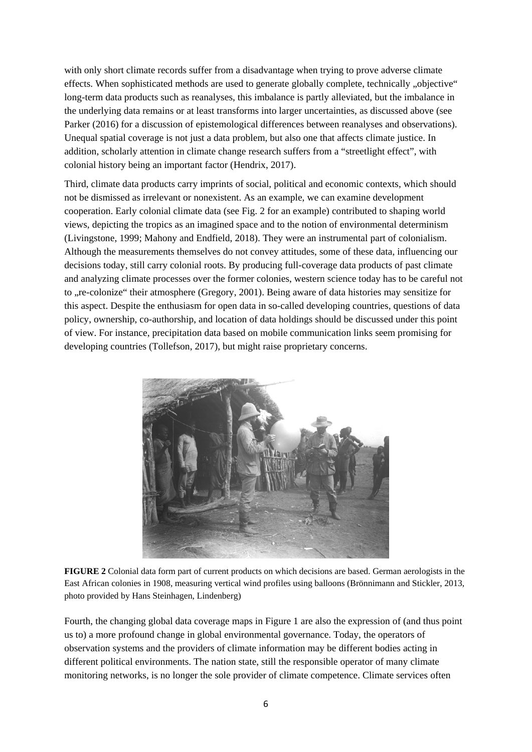with only short climate records suffer from a disadvantage when trying to prove adverse climate effects. When sophisticated methods are used to generate globally complete, technically "objective" long-term data products such as reanalyses, this imbalance is partly alleviated, but the imbalance in the underlying data remains or at least transforms into larger uncertainties, as discussed above (see Parker (2016) for a discussion of epistemological differences between reanalyses and observations). Unequal spatial coverage is not just a data problem, but also one that affects climate justice. In addition, scholarly attention in climate change research suffers from a "streetlight effect", with colonial history being an important factor (Hendrix, 2017).

Third, climate data products carry imprints of social, political and economic contexts, which should not be dismissed as irrelevant or nonexistent. As an example, we can examine development cooperation. Early colonial climate data (see Fig. 2 for an example) contributed to shaping world views, depicting the tropics as an imagined space and to the notion of environmental determinism (Livingstone, 1999; Mahony and Endfield, 2018). They were an instrumental part of colonialism. Although the measurements themselves do not convey attitudes, some of these data, influencing our decisions today, still carry colonial roots. By producing full-coverage data products of past climate and analyzing climate processes over the former colonies, western science today has to be careful not to "re-colonize" their atmosphere (Gregory, 2001). Being aware of data histories may sensitize for this aspect. Despite the enthusiasm for open data in so-called developing countries, questions of data policy, ownership, co-authorship, and location of data holdings should be discussed under this point of view. For instance, precipitation data based on mobile communication links seem promising for developing countries (Tollefson, 2017), but might raise proprietary concerns.



**FIGURE 2** Colonial data form part of current products on which decisions are based. German aerologists in the East African colonies in 1908, measuring vertical wind profiles using balloons (Brönnimann and Stickler, 2013, photo provided by Hans Steinhagen, Lindenberg)

Fourth, the changing global data coverage maps in Figure 1 are also the expression of (and thus point us to) a more profound change in global environmental governance. Today, the operators of observation systems and the providers of climate information may be different bodies acting in different political environments. The nation state, still the responsible operator of many climate monitoring networks, is no longer the sole provider of climate competence. Climate services often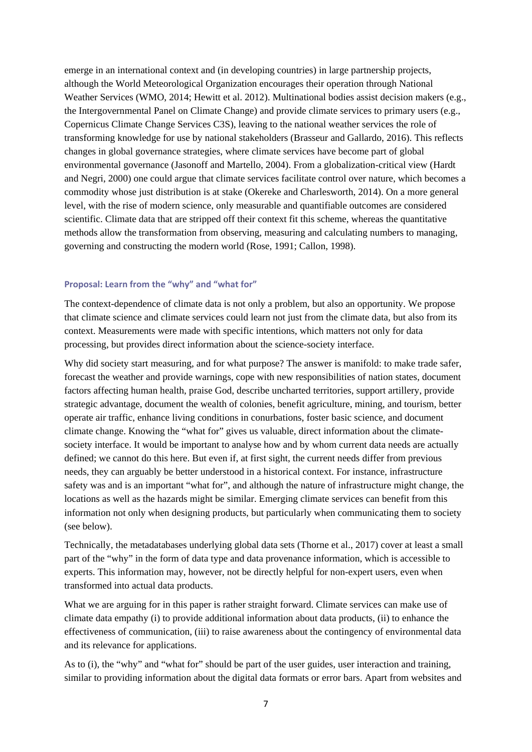emerge in an international context and (in developing countries) in large partnership projects, although the World Meteorological Organization encourages their operation through National Weather Services (WMO, 2014; Hewitt et al. 2012). Multinational bodies assist decision makers (e.g., the Intergovernmental Panel on Climate Change) and provide climate services to primary users (e.g., Copernicus Climate Change Services C3S), leaving to the national weather services the role of transforming knowledge for use by national stakeholders (Brasseur and Gallardo, 2016). This reflects changes in global governance strategies, where climate services have become part of global environmental governance (Jasonoff and Martello, 2004). From a globalization-critical view (Hardt and Negri, 2000) one could argue that climate services facilitate control over nature, which becomes a commodity whose just distribution is at stake (Okereke and Charlesworth, 2014). On a more general level, with the rise of modern science, only measurable and quantifiable outcomes are considered scientific. Climate data that are stripped off their context fit this scheme, whereas the quantitative methods allow the transformation from observing, measuring and calculating numbers to managing, governing and constructing the modern world (Rose, 1991; Callon, 1998).

#### **Proposal: Learn from the "why" and "what for"**

The context-dependence of climate data is not only a problem, but also an opportunity. We propose that climate science and climate services could learn not just from the climate data, but also from its context. Measurements were made with specific intentions, which matters not only for data processing, but provides direct information about the science-society interface.

Why did society start measuring, and for what purpose? The answer is manifold: to make trade safer, forecast the weather and provide warnings, cope with new responsibilities of nation states, document factors affecting human health, praise God, describe uncharted territories, support artillery, provide strategic advantage, document the wealth of colonies, benefit agriculture, mining, and tourism, better operate air traffic, enhance living conditions in conurbations, foster basic science, and document climate change. Knowing the "what for" gives us valuable, direct information about the climatesociety interface. It would be important to analyse how and by whom current data needs are actually defined; we cannot do this here. But even if, at first sight, the current needs differ from previous needs, they can arguably be better understood in a historical context. For instance, infrastructure safety was and is an important "what for", and although the nature of infrastructure might change, the locations as well as the hazards might be similar. Emerging climate services can benefit from this information not only when designing products, but particularly when communicating them to society (see below).

Technically, the metadatabases underlying global data sets (Thorne et al., 2017) cover at least a small part of the "why" in the form of data type and data provenance information, which is accessible to experts. This information may, however, not be directly helpful for non-expert users, even when transformed into actual data products.

What we are arguing for in this paper is rather straight forward. Climate services can make use of climate data empathy (i) to provide additional information about data products, (ii) to enhance the effectiveness of communication, (iii) to raise awareness about the contingency of environmental data and its relevance for applications.

As to (i), the "why" and "what for" should be part of the user guides, user interaction and training, similar to providing information about the digital data formats or error bars. Apart from websites and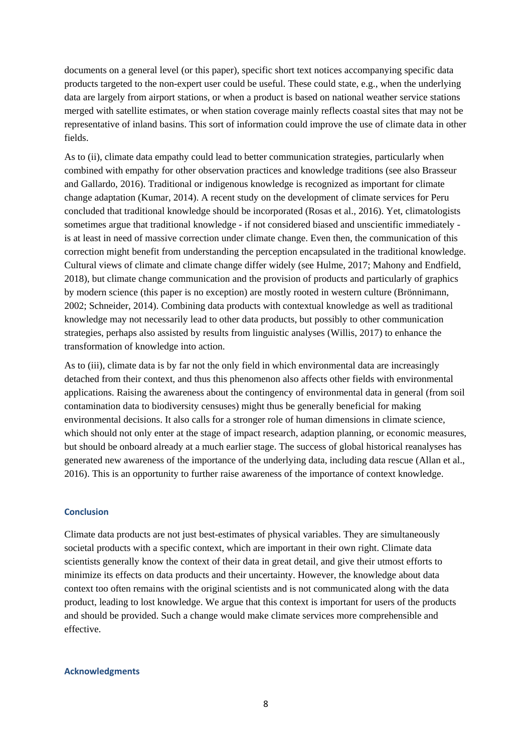documents on a general level (or this paper), specific short text notices accompanying specific data products targeted to the non-expert user could be useful. These could state, e.g., when the underlying data are largely from airport stations, or when a product is based on national weather service stations merged with satellite estimates, or when station coverage mainly reflects coastal sites that may not be representative of inland basins. This sort of information could improve the use of climate data in other fields.

As to (ii), climate data empathy could lead to better communication strategies, particularly when combined with empathy for other observation practices and knowledge traditions (see also Brasseur and Gallardo, 2016). Traditional or indigenous knowledge is recognized as important for climate change adaptation (Kumar, 2014). A recent study on the development of climate services for Peru concluded that traditional knowledge should be incorporated (Rosas et al., 2016). Yet, climatologists sometimes argue that traditional knowledge - if not considered biased and unscientific immediately is at least in need of massive correction under climate change. Even then, the communication of this correction might benefit from understanding the perception encapsulated in the traditional knowledge. Cultural views of climate and climate change differ widely (see Hulme, 2017; Mahony and Endfield, 2018), but climate change communication and the provision of products and particularly of graphics by modern science (this paper is no exception) are mostly rooted in western culture (Brönnimann, 2002; Schneider, 2014). Combining data products with contextual knowledge as well as traditional knowledge may not necessarily lead to other data products, but possibly to other communication strategies, perhaps also assisted by results from linguistic analyses (Willis, 2017) to enhance the transformation of knowledge into action.

As to (iii), climate data is by far not the only field in which environmental data are increasingly detached from their context, and thus this phenomenon also affects other fields with environmental applications. Raising the awareness about the contingency of environmental data in general (from soil contamination data to biodiversity censuses) might thus be generally beneficial for making environmental decisions. It also calls for a stronger role of human dimensions in climate science, which should not only enter at the stage of impact research, adaption planning, or economic measures, but should be onboard already at a much earlier stage. The success of global historical reanalyses has generated new awareness of the importance of the underlying data, including data rescue (Allan et al., 2016). This is an opportunity to further raise awareness of the importance of context knowledge.

#### **Conclusion**

Climate data products are not just best-estimates of physical variables. They are simultaneously societal products with a specific context, which are important in their own right. Climate data scientists generally know the context of their data in great detail, and give their utmost efforts to minimize its effects on data products and their uncertainty. However, the knowledge about data context too often remains with the original scientists and is not communicated along with the data product, leading to lost knowledge. We argue that this context is important for users of the products and should be provided. Such a change would make climate services more comprehensible and effective.

#### **Acknowledgments**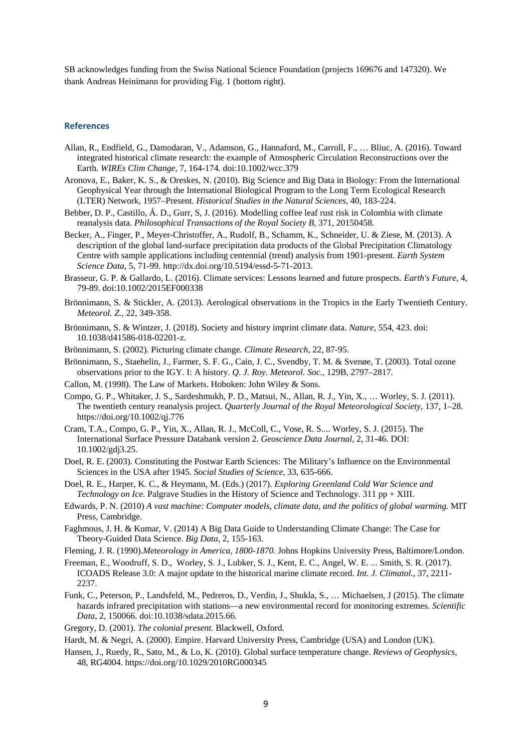SB acknowledges funding from the Swiss National Science Foundation (projects 169676 and 147320). We thank Andreas Heinimann for providing Fig. 1 (bottom right).

#### **References**

- Allan, R., Endfield, G., Damodaran, V., Adamson, G., Hannaford, M., Carroll, F., … Bliuc, A. (2016). Toward integrated historical climate research: the example of Atmospheric Circulation Reconstructions over the Earth. *WIREs Clim Change*, 7, 164-174. doi:10.1002/wcc.379
- Aronova, E., Baker, K. S., & Oreskes, N. (2010). Big Science and Big Data in Biology: From the International Geophysical Year through the International Biological Program to the Long Term Ecological Research (LTER) Network, 1957–Present. *Historical Studies in the Natural Sciences,* 40, 183-224.
- Bebber, D. P., Castillo, Á. D., Gurr, S, J. (2016). Modelling coffee leaf rust risk in Colombia with climate reanalysis data. *Philosophical Transactions of the Royal Society B,* 371, 20150458.
- Becker, A., Finger, P., Meyer-Christoffer, A., Rudolf, B., Schamm, K., Schneider, U. & Ziese, M. (2013). A description of the global land-surface precipitation data products of the Global Precipitation Climatology Centre with sample applications including centennial (trend) analysis from 1901-present. *Earth System Science Data,* 5, 71-99. http://dx.doi.org/10.5194/essd-5-71-2013.
- Brasseur, G. P. & Gallardo, L. (2016). Climate services: Lessons learned and future prospects. *Earth's Future,* 4, 79-89. doi:10.1002/2015EF000338
- Brönnimann, S. & Stickler, A. (2013). Aerological observations in the Tropics in the Early Twentieth Century. *Meteorol. Z.,* 22, 349-358.
- Brönnimann, S. & Wintzer, J. (2018). Society and history imprint climate data. *Nature*, 554, 423. doi: 10.1038/d41586-018-02201-z.
- Brönnimann, S. (2002). Picturing climate change. *Climate Research,* 22, 87-95.
- Brönnimann, S., Staehelin, J., Farmer, S. F. G., Cain, J. C., Svendby, T. M. & Svenøe, T. (2003). Total ozone observations prior to the IGY. I: A history. *Q. J. Roy. Meteorol. Soc.,* 129B, 2797–2817.
- Callon, M. (1998). The Law of Markets. Hoboken: John Wiley & Sons.
- Compo, G. P., Whitaker, J. S., Sardeshmukh, P. D., Matsui, N., Allan, R. J., Yin, X., … Worley, S. J. (2011). The twentieth century reanalysis project. *Quarterly Journal of the Royal Meteorological Society,* 137, 1–28. https://doi.org/10.1002/qj.776
- Cram, T.A., Compo, G. P., Yin, X., Allan, R. J., McColl, C., Vose, R. S.... Worley, S. J. (2015). The International Surface Pressure Databank version 2. *Geoscience Data Journal,* 2, 31-46. DOI: 10.1002/gdj3.25.
- Doel, R. E. (2003). Constituting the Postwar Earth Sciences: The Military's Influence on the Environmental Sciences in the USA after 1945. *Social Studies of Science,* 33, 635-666.
- Doel, R. E., Harper, K. C., & Heymann, M. (Eds.) (2017). *Exploring Greenland Cold War Science and Technology on Ice.* Palgrave Studies in the History of Science and Technology. 311 pp + XIII.
- Edwards, P. N. (2010) *A vast machine: Computer models, climate data, and the politics of global warming.* MIT Press, Cambridge.
- Faghmous, J. H. & Kumar, V. (2014) A Big Data Guide to Understanding Climate Change: The Case for Theory-Guided Data Science. *Big Data,* 2, 155-163.
- Fleming, J. R. (1990).*Meteorology in America, 1800-1870.* Johns Hopkins University Press, Baltimore/London.
- Freeman, E., Woodruff, S. D., Worley, S. J., Lubker, S. J., Kent, E. C., Angel, W. E. ... Smith, S. R. (2017). ICOADS Release 3.0: A major update to the historical marine climate record. *Int. J. Climatol.,* 37, 2211- 2237.
- Funk, C., Peterson, P., Landsfeld, M., Pedreros, D., Verdin, J., Shukla, S., … Michaelsen, J (2015). The climate hazards infrared precipitation with stations—a new environmental record for monitoring extremes. *Scientific Data*, 2, 150066. doi:10.1038/sdata.2015.66.
- Gregory, D. (2001). *The colonial present.* Blackwell, Oxford.
- Hardt, M. & Negri, A. (2000). Empire. Harvard University Press, Cambridge (USA) and London (UK).
- Hansen, J., Ruedy, R., Sato, M., & Lo, K. (2010). Global surface temperature change. *Reviews of Geophysics,* 48, RG4004. https://doi.org/10.1029/2010RG000345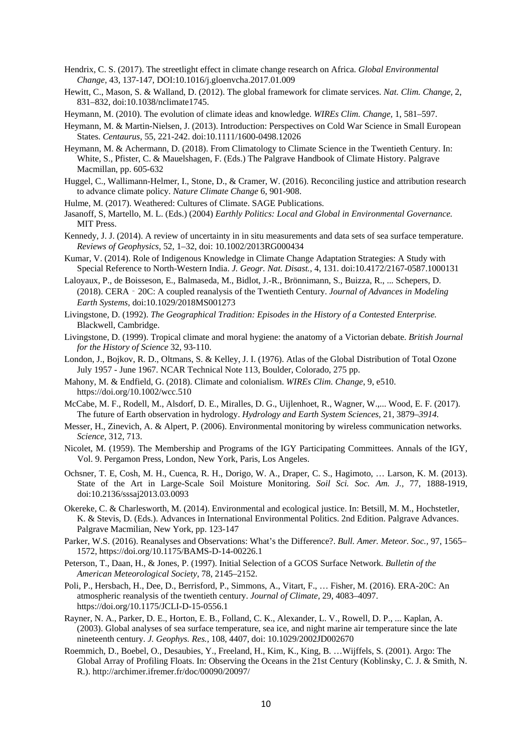- Hendrix, C. S. (2017). The streetlight effect in climate change research on Africa. *Global Environmental Change,* 43, 137-147, DOI:10.1016/j.gloenvcha.2017.01.009
- Hewitt, C., Mason, S. & Walland, D. (2012). The global framework for climate services. *Nat. Clim. Change,* 2, 831–832, doi:10.1038/nclimate1745.
- Heymann, M. (2010). The evolution of climate ideas and knowledge. *WIREs Clim. Change,* 1, 581–597.
- Heymann, M. & Martin-Nielsen, J. (2013). Introduction: Perspectives on Cold War Science in Small European States. *Centaurus,* 55, 221-242. doi:10.1111/1600-0498.12026
- Heymann, M. & Achermann, D. (2018). From Climatology to Climate Science in the Twentieth Century. In: White, S., Pfister, C. & Mauelshagen, F. (Eds.) The Palgrave Handbook of Climate History. Palgrave Macmillan, pp. 605-632
- Huggel, C., Wallimann-Helmer, I., Stone, D., & Cramer, W. (2016). Reconciling justice and attribution research to advance climate policy. *Nature Climate Change* 6, 901-908.
- Hulme, M. (2017). Weathered: Cultures of Climate. SAGE Publications.
- Jasanoff, S, Martello, M. L. (Eds.) (2004) *Earthly Politics: Local and Global in Environmental Governance.* MIT Press.
- Kennedy, J. J. (2014). A review of uncertainty in in situ measurements and data sets of sea surface temperature. *Reviews of Geophysics,* 52, 1–32, doi: 10.1002/2013RG000434
- Kumar, V. (2014). Role of Indigenous Knowledge in Climate Change Adaptation Strategies: A Study with Special Reference to North-Western India. *J. Geogr. Nat. Disast.,* 4, 131. doi:10.4172/2167-0587.1000131
- Laloyaux, P., de Boisseson, E., Balmaseda, M., Bidlot, J.-R., Brönnimann, S., Buizza, R., ... Schepers, D. (2018). CERA‐20C: A coupled reanalysis of the Twentieth Century. *Journal of Advances in Modeling Earth Systems,* doi:10.1029/2018MS001273
- Livingstone, D. (1992). *The Geographical Tradition: Episodes in the History of a Contested Enterprise.*  Blackwell, Cambridge.
- Livingstone, D. (1999). Tropical climate and moral hygiene: the anatomy of a Victorian debate. *British Journal for the History of Science* 32, 93-110.
- London, J., Bojkov, R. D., Oltmans, S. & Kelley, J. I. (1976). Atlas of the Global Distribution of Total Ozone July 1957 - June 1967. NCAR Technical Note 113, Boulder, Colorado, 275 pp.
- Mahony, M. & Endfield, G. (2018). Climate and colonialism. *WIREs Clim. Change*, 9, e510. https://doi.org/10.1002/wcc.510
- McCabe, M. F., Rodell, M., Alsdorf, D. E., Miralles, D. G., Uijlenhoet, R., Wagner, W.,... Wood, E. F. (2017). The future of Earth observation in hydrology. *Hydrology and Earth System Sciences,* 21, 3879*–3914.*
- Messer, H., Zinevich, A. & Alpert, P. (2006). Environmental monitoring by wireless communication networks. *Science,* 312, 713.
- Nicolet, M. (1959). The Membership and Programs of the IGY Participating Committees. Annals of the IGY, Vol. 9. Pergamon Press, London, New York, Paris, Los Angeles.
- Ochsner, T. E, Cosh, M. H., Cuenca, R. H., Dorigo, W. A., Draper, C. S., Hagimoto, … Larson, K. M. (2013). State of the Art in Large-Scale Soil Moisture Monitoring. *Soil Sci. Soc. Am. J.,* 77, 1888-1919, doi:10.2136/sssaj2013.03.0093
- Okereke, C. & Charlesworth, M. (2014). Environmental and ecological justice. In: Betsill, M. M., Hochstetler, K. & Stevis, D. (Eds.). Advances in International Environmental Politics. 2nd Edition. Palgrave Advances. Palgrave Macmilian, New York, pp. 123-147
- Parker, W.S. (2016). Reanalyses and Observations: What's the Difference?. *Bull. Amer. Meteor. Soc.,* 97, 1565– 1572, https://doi.org/10.1175/BAMS-D-14-00226.1
- Peterson, T., Daan, H., & Jones, P. (1997). Initial Selection of a GCOS Surface Network. *Bulletin of the American Meteorological Society*, 78, 2145–2152.
- Poli, P., Hersbach, H., Dee, D., Berrisford, P., Simmons, A., Vitart, F., … Fisher, M. (2016). ERA-20C: An atmospheric reanalysis of the twentieth century. *Journal of Climate,* 29, 4083–4097. https://doi.org/10.1175/JCLI-D-15-0556.1
- Rayner, N. A., Parker, D. E., Horton, E. B., Folland, C. K., Alexander, L. V., Rowell, D. P., ... Kaplan, A. (2003). Global analyses of sea surface temperature, sea ice, and night marine air temperature since the late nineteenth century. *J. Geophys. Res.,* 108, 4407, doi: 10.1029/2002JD002670
- Roemmich, D., Boebel, O., Desaubies, Y., Freeland, H., Kim, K., King, B. …Wijffels, S. (2001). Argo: The Global Array of Profiling Floats. In: Observing the Oceans in the 21st Century (Koblinsky, C. J. & Smith, N. R.). http://archimer.ifremer.fr/doc/00090/20097/